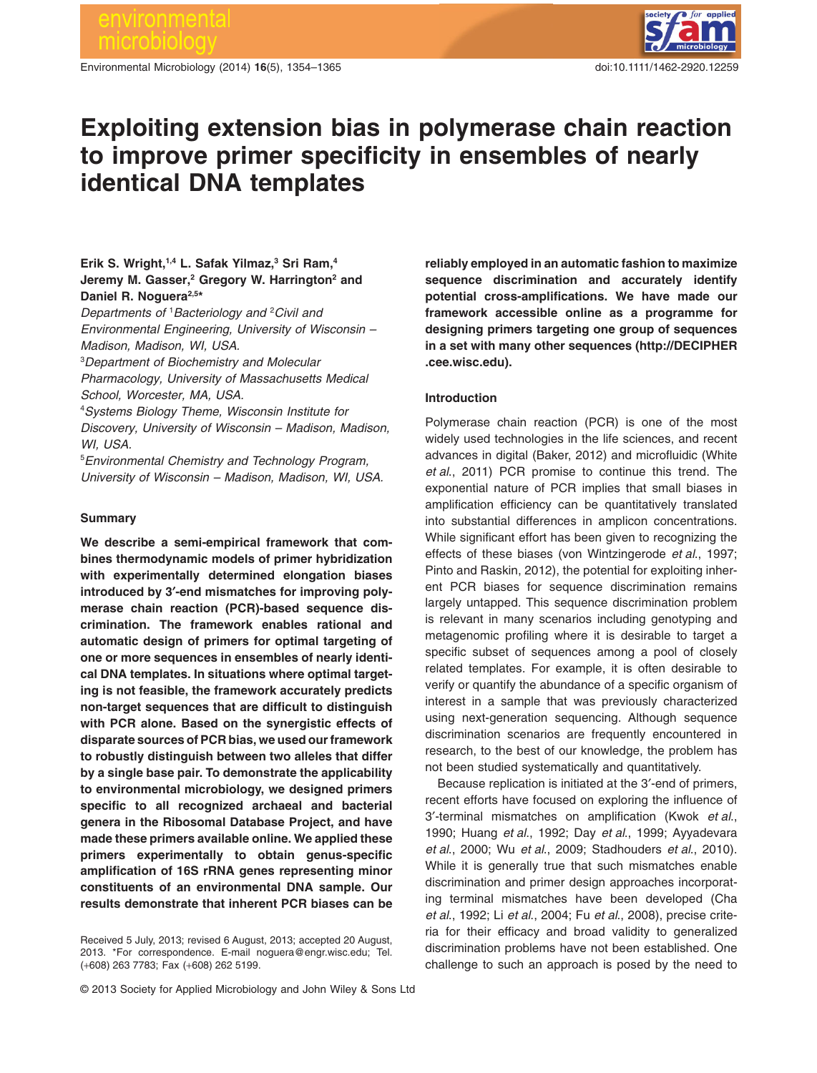# environmental crobiol

Environmental Microbiology (2014) **16**(5), 1354–1365 doi:10.111/1462-2920.12259



# **Exploiting extension bias in polymerase chain reaction to improve primer specificity in ensembles of nearly identical DNA templates**

# **Erik S. Wright,1,4 L. Safak Yilmaz,3 Sri Ram,4 Jeremy M. Gasser,2 Gregory W. Harrington2 and** Daniel R. Noguera<sup>2,5\*</sup>

*Departments of* <sup>1</sup> *Bacteriology and* <sup>2</sup> *Civil and Environmental Engineering, University of Wisconsin – Madison, Madison, WI, USA.*

3 *Department of Biochemistry and Molecular*

*Pharmacology, University of Massachusetts Medical School, Worcester, MA, USA.*

4 *Systems Biology Theme, Wisconsin Institute for Discovery, University of Wisconsin – Madison, Madison, WI, USA.*

5 *Environmental Chemistry and Technology Program, University of Wisconsin – Madison, Madison, WI, USA.*

# **Summary**

**We describe a semi-empirical framework that combines thermodynamic models of primer hybridization with experimentally determined elongation biases introduced by 3′-end mismatches for improving polymerase chain reaction (PCR)-based sequence discrimination. The framework enables rational and automatic design of primers for optimal targeting of one or more sequences in ensembles of nearly identical DNA templates. In situations where optimal targeting is not feasible, the framework accurately predicts non-target sequences that are difficult to distinguish with PCR alone. Based on the synergistic effects of disparate sources of PCR bias, we used our framework to robustly distinguish between two alleles that differ by a single base pair. To demonstrate the applicability to environmental microbiology, we designed primers specific to all recognized archaeal and bacterial genera in the Ribosomal Database Project, and have made these primers available online. We applied these primers experimentally to obtain genus-specific amplification of 16S rRNA genes representing minor constituents of an environmental DNA sample. Our results demonstrate that inherent PCR biases can be**

Received 5 July, 2013; revised 6 August, 2013; accepted 20 August, 2013. \*For correspondence. E-mail [noguera@engr.wisc.edu;](mailto:noguera@engr.wisc.edu) Tel. (+608) 263 7783; Fax (+608) 262 5199.

**reliably employed in an automatic fashion to maximize sequence discrimination and accurately identify potential cross-amplifications. We have made our framework accessible online as a programme for designing primers targeting one group of sequences in a set with many other sequences [\(http://DECIPHER](http://DECIPHER.cee.wisc.edu) [.cee.wisc.edu\)](http://DECIPHER.cee.wisc.edu).**

# **Introduction**

Polymerase chain reaction (PCR) is one of the most widely used technologies in the life sciences, and recent advances in digital (Baker, 2012) and microfluidic (White *et al*., 2011) PCR promise to continue this trend. The exponential nature of PCR implies that small biases in amplification efficiency can be quantitatively translated into substantial differences in amplicon concentrations. While significant effort has been given to recognizing the effects of these biases (von Wintzingerode *et al*., 1997; Pinto and Raskin, 2012), the potential for exploiting inherent PCR biases for sequence discrimination remains largely untapped. This sequence discrimination problem is relevant in many scenarios including genotyping and metagenomic profiling where it is desirable to target a specific subset of sequences among a pool of closely related templates. For example, it is often desirable to verify or quantify the abundance of a specific organism of interest in a sample that was previously characterized using next-generation sequencing. Although sequence discrimination scenarios are frequently encountered in research, to the best of our knowledge, the problem has not been studied systematically and quantitatively.

Because replication is initiated at the 3′-end of primers, recent efforts have focused on exploring the influence of 3′-terminal mismatches on amplification (Kwok *et al*., 1990; Huang *et al*., 1992; Day *et al*., 1999; Ayyadevara *et al*., 2000; Wu *et al*., 2009; Stadhouders *et al*., 2010). While it is generally true that such mismatches enable discrimination and primer design approaches incorporating terminal mismatches have been developed (Cha *et al*., 1992; Li *et al*., 2004; Fu *et al*., 2008), precise criteria for their efficacy and broad validity to generalized discrimination problems have not been established. One challenge to such an approach is posed by the need to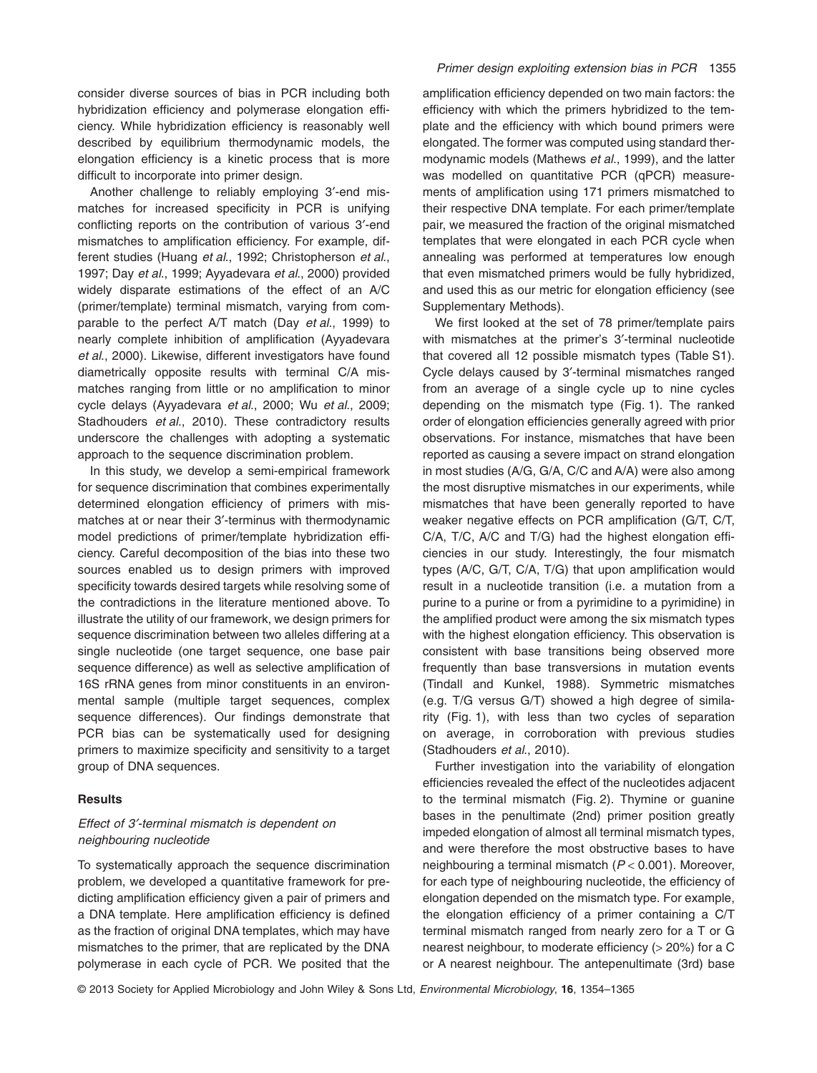consider diverse sources of bias in PCR including both hybridization efficiency and polymerase elongation efficiency. While hybridization efficiency is reasonably well described by equilibrium thermodynamic models, the elongation efficiency is a kinetic process that is more difficult to incorporate into primer design.

Another challenge to reliably employing 3′-end mismatches for increased specificity in PCR is unifying conflicting reports on the contribution of various 3′-end mismatches to amplification efficiency. For example, different studies (Huang *et al*., 1992; Christopherson *et al*., 1997; Day *et al*., 1999; Ayyadevara *et al*., 2000) provided widely disparate estimations of the effect of an A/C (primer/template) terminal mismatch, varying from comparable to the perfect A/T match (Day *et al*., 1999) to nearly complete inhibition of amplification (Ayyadevara *et al*., 2000). Likewise, different investigators have found diametrically opposite results with terminal C/A mismatches ranging from little or no amplification to minor cycle delays (Ayyadevara *et al*., 2000; Wu *et al*., 2009; Stadhouders *et al*., 2010). These contradictory results underscore the challenges with adopting a systematic approach to the sequence discrimination problem.

In this study, we develop a semi-empirical framework for sequence discrimination that combines experimentally determined elongation efficiency of primers with mismatches at or near their 3′-terminus with thermodynamic model predictions of primer/template hybridization efficiency. Careful decomposition of the bias into these two sources enabled us to design primers with improved specificity towards desired targets while resolving some of the contradictions in the literature mentioned above. To illustrate the utility of our framework, we design primers for sequence discrimination between two alleles differing at a single nucleotide (one target sequence, one base pair sequence difference) as well as selective amplification of 16S rRNA genes from minor constituents in an environmental sample (multiple target sequences, complex sequence differences). Our findings demonstrate that PCR bias can be systematically used for designing primers to maximize specificity and sensitivity to a target group of DNA sequences.

#### **Results**

# *Effect of 3′-terminal mismatch is dependent on neighbouring nucleotide*

To systematically approach the sequence discrimination problem, we developed a quantitative framework for predicting amplification efficiency given a pair of primers and a DNA template. Here amplification efficiency is defined as the fraction of original DNA templates, which may have mismatches to the primer, that are replicated by the DNA polymerase in each cycle of PCR. We posited that the

#### *Primer design exploiting extension bias in PCR* 1355

amplification efficiency depended on two main factors: the efficiency with which the primers hybridized to the template and the efficiency with which bound primers were elongated. The former was computed using standard thermodynamic models (Mathews *et al*., 1999), and the latter was modelled on quantitative PCR (qPCR) measurements of amplification using 171 primers mismatched to their respective DNA template. For each primer/template pair, we measured the fraction of the original mismatched templates that were elongated in each PCR cycle when annealing was performed at temperatures low enough that even mismatched primers would be fully hybridized, and used this as our metric for elongation efficiency (see Supplementary Methods).

We first looked at the set of 78 primer/template pairs with mismatches at the primer's 3′-terminal nucleotide that covered all 12 possible mismatch types (Table S1). Cycle delays caused by 3′-terminal mismatches ranged from an average of a single cycle up to nine cycles depending on the mismatch type (Fig. 1). The ranked order of elongation efficiencies generally agreed with prior observations. For instance, mismatches that have been reported as causing a severe impact on strand elongation in most studies (A/G, G/A, C/C and A/A) were also among the most disruptive mismatches in our experiments, while mismatches that have been generally reported to have weaker negative effects on PCR amplification (G/T, C/T, C/A, T/C, A/C and T/G) had the highest elongation efficiencies in our study. Interestingly, the four mismatch types (A/C, G/T, C/A, T/G) that upon amplification would result in a nucleotide transition (i.e. a mutation from a purine to a purine or from a pyrimidine to a pyrimidine) in the amplified product were among the six mismatch types with the highest elongation efficiency. This observation is consistent with base transitions being observed more frequently than base transversions in mutation events (Tindall and Kunkel, 1988). Symmetric mismatches (e.g. T/G versus G/T) showed a high degree of similarity (Fig. 1), with less than two cycles of separation on average, in corroboration with previous studies (Stadhouders *et al*., 2010).

Further investigation into the variability of elongation efficiencies revealed the effect of the nucleotides adjacent to the terminal mismatch (Fig. 2). Thymine or guanine bases in the penultimate (2nd) primer position greatly impeded elongation of almost all terminal mismatch types, and were therefore the most obstructive bases to have neighbouring a terminal mismatch (*P* < 0.001). Moreover, for each type of neighbouring nucleotide, the efficiency of elongation depended on the mismatch type. For example, the elongation efficiency of a primer containing a C/T terminal mismatch ranged from nearly zero for a T or G nearest neighbour, to moderate efficiency (> 20%) for a C or A nearest neighbour. The antepenultimate (3rd) base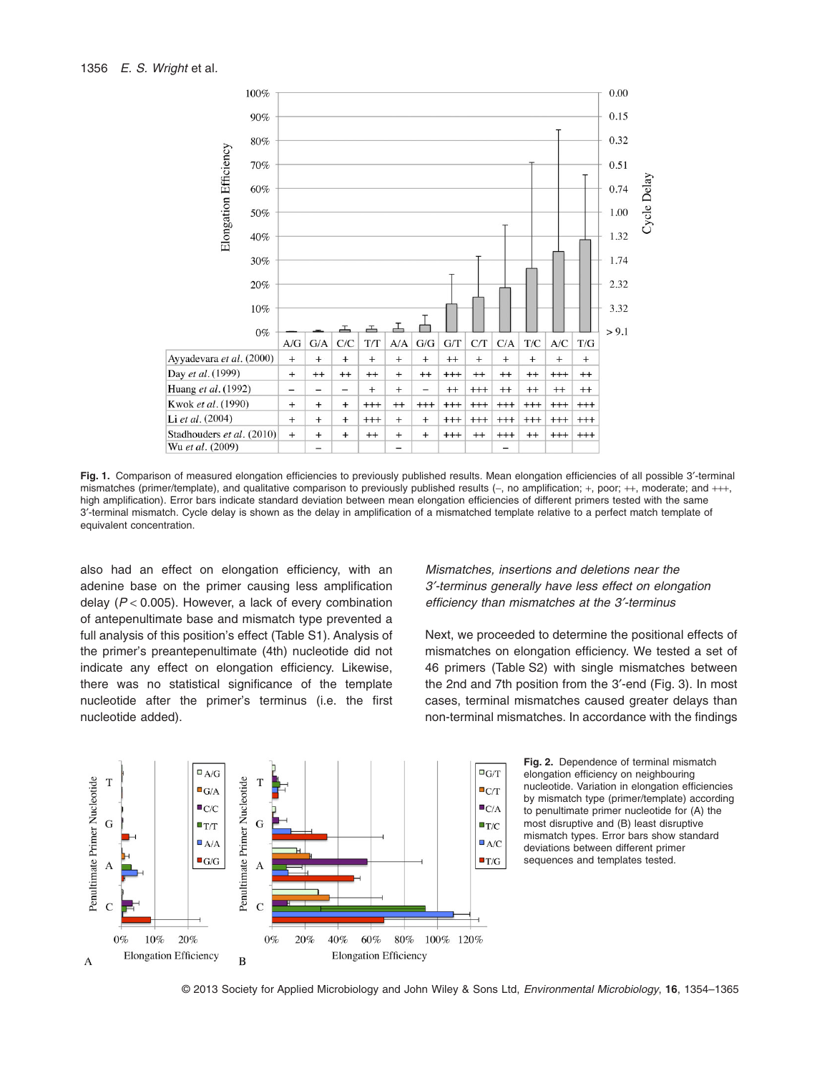

**Fig. 1.** Comparison of measured elongation efficiencies to previously published results. Mean elongation efficiencies of all possible 3′-terminal mismatches (primer/template), and qualitative comparison to previously published results (−, no amplification; +, poor; ++, moderate; and +++, high amplification). Error bars indicate standard deviation between mean elongation efficiencies of different primers tested with the same 3′-terminal mismatch. Cycle delay is shown as the delay in amplification of a mismatched template relative to a perfect match template of equivalent concentration.

also had an effect on elongation efficiency, with an adenine base on the primer causing less amplification delay (*P* < 0.005). However, a lack of every combination of antepenultimate base and mismatch type prevented a full analysis of this position's effect (Table S1). Analysis of the primer's preantepenultimate (4th) nucleotide did not indicate any effect on elongation efficiency. Likewise, there was no statistical significance of the template nucleotide after the primer's terminus (i.e. the first nucleotide added).

*Mismatches, insertions and deletions near the 3′-terminus generally have less effect on elongation efficiency than mismatches at the 3′-terminus*

Next, we proceeded to determine the positional effects of mismatches on elongation efficiency. We tested a set of 46 primers (Table S2) with single mismatches between the 2nd and 7th position from the 3′-end (Fig. 3). In most cases, terminal mismatches caused greater delays than non-terminal mismatches. In accordance with the findings





© 2013 Society for Applied Microbiology and John Wiley & Sons Ltd, *Environmental Microbiology*, **16**, 1354–1365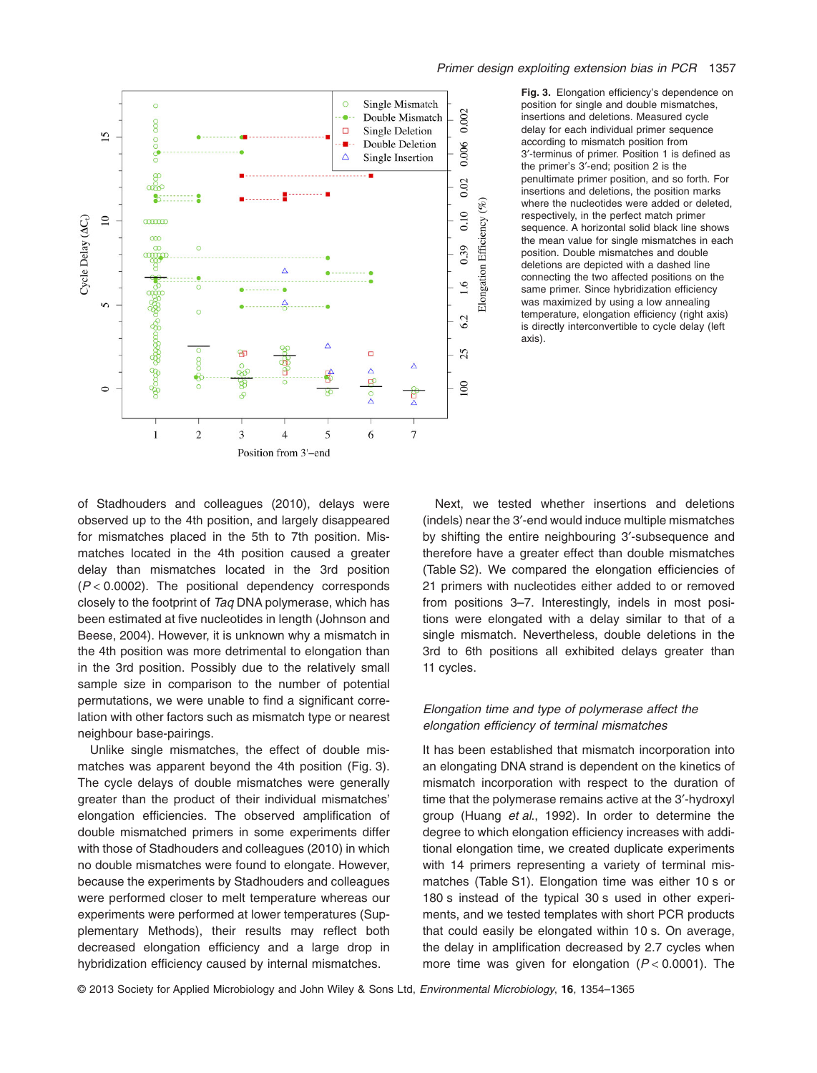

**Fig. 3.** Elongation efficiency's dependence on position for single and double mismatches, insertions and deletions. Measured cycle delay for each individual primer sequence according to mismatch position from 3′-terminus of primer. Position 1 is defined as the primer's 3′-end; position 2 is the penultimate primer position, and so forth. For insertions and deletions, the position marks where the nucleotides were added or deleted, respectively, in the perfect match primer sequence. A horizontal solid black line shows the mean value for single mismatches in each position. Double mismatches and double deletions are depicted with a dashed line connecting the two affected positions on the same primer. Since hybridization efficiency was maximized by using a low annealing temperature, elongation efficiency (right axis) is directly interconvertible to cycle delay (left axis).

of Stadhouders and colleagues (2010), delays were observed up to the 4th position, and largely disappeared for mismatches placed in the 5th to 7th position. Mismatches located in the 4th position caused a greater delay than mismatches located in the 3rd position (*P* < 0.0002). The positional dependency corresponds closely to the footprint of *Taq* DNA polymerase, which has been estimated at five nucleotides in length (Johnson and Beese, 2004). However, it is unknown why a mismatch in the 4th position was more detrimental to elongation than in the 3rd position. Possibly due to the relatively small sample size in comparison to the number of potential permutations, we were unable to find a significant correlation with other factors such as mismatch type or nearest neighbour base-pairings.

Unlike single mismatches, the effect of double mismatches was apparent beyond the 4th position (Fig. 3). The cycle delays of double mismatches were generally greater than the product of their individual mismatches' elongation efficiencies. The observed amplification of double mismatched primers in some experiments differ with those of Stadhouders and colleagues (2010) in which no double mismatches were found to elongate. However, because the experiments by Stadhouders and colleagues were performed closer to melt temperature whereas our experiments were performed at lower temperatures (Supplementary Methods), their results may reflect both decreased elongation efficiency and a large drop in hybridization efficiency caused by internal mismatches.

Next, we tested whether insertions and deletions (indels) near the 3′-end would induce multiple mismatches by shifting the entire neighbouring 3′-subsequence and therefore have a greater effect than double mismatches (Table S2). We compared the elongation efficiencies of 21 primers with nucleotides either added to or removed from positions 3–7. Interestingly, indels in most positions were elongated with a delay similar to that of a single mismatch. Nevertheless, double deletions in the 3rd to 6th positions all exhibited delays greater than 11 cycles.

# *Elongation time and type of polymerase affect the elongation efficiency of terminal mismatches*

It has been established that mismatch incorporation into an elongating DNA strand is dependent on the kinetics of mismatch incorporation with respect to the duration of time that the polymerase remains active at the 3′-hydroxyl group (Huang *et al*., 1992). In order to determine the degree to which elongation efficiency increases with additional elongation time, we created duplicate experiments with 14 primers representing a variety of terminal mismatches (Table S1). Elongation time was either 10 s or 180 s instead of the typical 30 s used in other experiments, and we tested templates with short PCR products that could easily be elongated within 10 s. On average, the delay in amplification decreased by 2.7 cycles when more time was given for elongation (*P* < 0.0001). The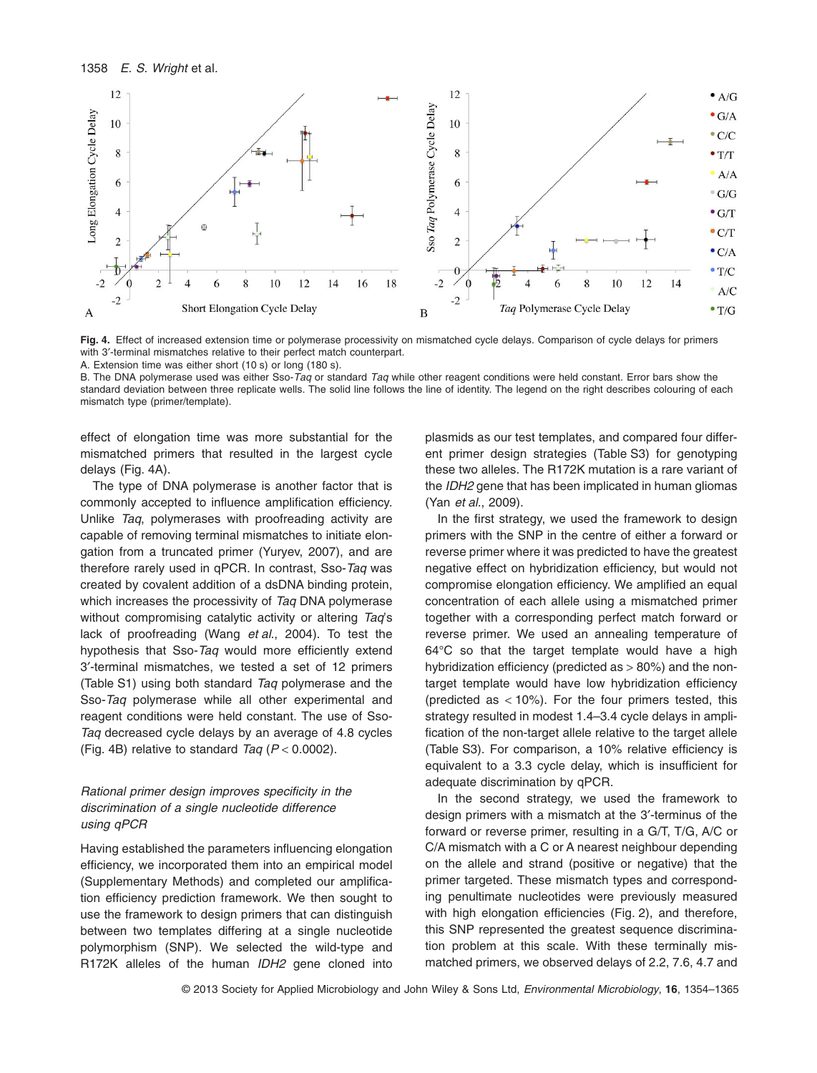

Fig. 4. Effect of increased extension time or polymerase processivity on mismatched cycle delays. Comparison of cycle delays for primers with 3′-terminal mismatches relative to their perfect match counterpart.

A. Extension time was either short (10 s) or long (180 s).

B. The DNA polymerase used was either Sso-*Taq* or standard *Taq* while other reagent conditions were held constant. Error bars show the standard deviation between three replicate wells. The solid line follows the line of identity. The legend on the right describes colouring of each mismatch type (primer/template).

effect of elongation time was more substantial for the mismatched primers that resulted in the largest cycle delays (Fig. 4A).

The type of DNA polymerase is another factor that is commonly accepted to influence amplification efficiency. Unlike *Taq*, polymerases with proofreading activity are capable of removing terminal mismatches to initiate elongation from a truncated primer (Yuryev, 2007), and are therefore rarely used in qPCR. In contrast, Sso-*Taq* was created by covalent addition of a dsDNA binding protein, which increases the processivity of *Taq* DNA polymerase without compromising catalytic activity or altering *Taq*'s lack of proofreading (Wang *et al*., 2004). To test the hypothesis that Sso-*Taq* would more efficiently extend 3′-terminal mismatches, we tested a set of 12 primers (Table S1) using both standard *Taq* polymerase and the Sso-*Taq* polymerase while all other experimental and reagent conditions were held constant. The use of Sso-*Taq* decreased cycle delays by an average of 4.8 cycles (Fig. 4B) relative to standard *Taq* (*P* < 0.0002).

# *Rational primer design improves specificity in the discrimination of a single nucleotide difference using qPCR*

Having established the parameters influencing elongation efficiency, we incorporated them into an empirical model (Supplementary Methods) and completed our amplification efficiency prediction framework. We then sought to use the framework to design primers that can distinguish between two templates differing at a single nucleotide polymorphism (SNP). We selected the wild-type and R172K alleles of the human *IDH2* gene cloned into

plasmids as our test templates, and compared four different primer design strategies (Table S3) for genotyping these two alleles. The R172K mutation is a rare variant of the *IDH2* gene that has been implicated in human gliomas (Yan *et al*., 2009).

In the first strategy, we used the framework to design primers with the SNP in the centre of either a forward or reverse primer where it was predicted to have the greatest negative effect on hybridization efficiency, but would not compromise elongation efficiency. We amplified an equal concentration of each allele using a mismatched primer together with a corresponding perfect match forward or reverse primer. We used an annealing temperature of 64°C so that the target template would have a high hybridization efficiency (predicted as > 80%) and the nontarget template would have low hybridization efficiency (predicted as  $<$  10%). For the four primers tested, this strategy resulted in modest 1.4–3.4 cycle delays in amplification of the non-target allele relative to the target allele (Table S3). For comparison, a 10% relative efficiency is equivalent to a 3.3 cycle delay, which is insufficient for adequate discrimination by qPCR.

In the second strategy, we used the framework to design primers with a mismatch at the 3′-terminus of the forward or reverse primer, resulting in a G/T, T/G, A/C or C/A mismatch with a C or A nearest neighbour depending on the allele and strand (positive or negative) that the primer targeted. These mismatch types and corresponding penultimate nucleotides were previously measured with high elongation efficiencies (Fig. 2), and therefore, this SNP represented the greatest sequence discrimination problem at this scale. With these terminally mismatched primers, we observed delays of 2.2, 7.6, 4.7 and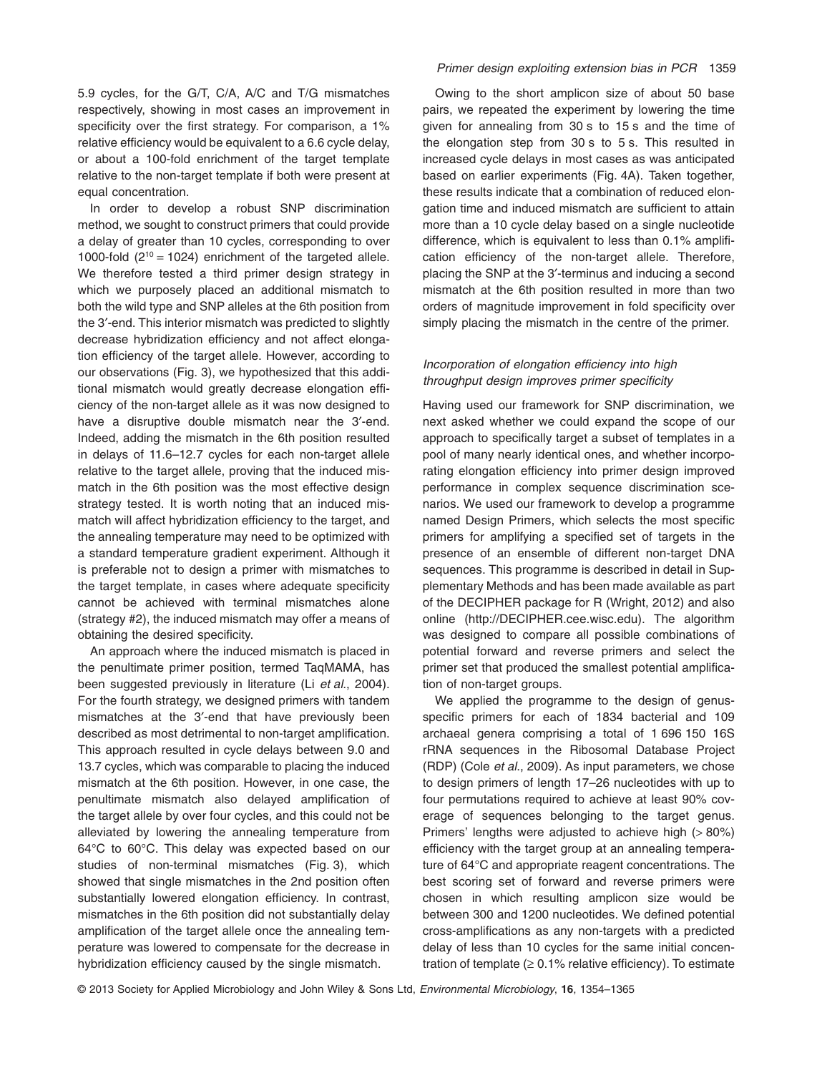5.9 cycles, for the G/T, C/A, A/C and T/G mismatches respectively, showing in most cases an improvement in specificity over the first strategy. For comparison, a 1% relative efficiency would be equivalent to a 6.6 cycle delay, or about a 100-fold enrichment of the target template relative to the non-target template if both were present at equal concentration.

In order to develop a robust SNP discrimination method, we sought to construct primers that could provide a delay of greater than 10 cycles, corresponding to over 1000-fold  $(2^{10} = 1024)$  enrichment of the targeted allele. We therefore tested a third primer design strategy in which we purposely placed an additional mismatch to both the wild type and SNP alleles at the 6th position from the 3′-end. This interior mismatch was predicted to slightly decrease hybridization efficiency and not affect elongation efficiency of the target allele. However, according to our observations (Fig. 3), we hypothesized that this additional mismatch would greatly decrease elongation efficiency of the non-target allele as it was now designed to have a disruptive double mismatch near the 3′-end. Indeed, adding the mismatch in the 6th position resulted in delays of 11.6–12.7 cycles for each non-target allele relative to the target allele, proving that the induced mismatch in the 6th position was the most effective design strategy tested. It is worth noting that an induced mismatch will affect hybridization efficiency to the target, and the annealing temperature may need to be optimized with a standard temperature gradient experiment. Although it is preferable not to design a primer with mismatches to the target template, in cases where adequate specificity cannot be achieved with terminal mismatches alone (strategy #2), the induced mismatch may offer a means of obtaining the desired specificity.

An approach where the induced mismatch is placed in the penultimate primer position, termed TaqMAMA, has been suggested previously in literature (Li *et al*., 2004). For the fourth strategy, we designed primers with tandem mismatches at the 3′-end that have previously been described as most detrimental to non-target amplification. This approach resulted in cycle delays between 9.0 and 13.7 cycles, which was comparable to placing the induced mismatch at the 6th position. However, in one case, the penultimate mismatch also delayed amplification of the target allele by over four cycles, and this could not be alleviated by lowering the annealing temperature from 64°C to 60°C. This delay was expected based on our studies of non-terminal mismatches (Fig. 3), which showed that single mismatches in the 2nd position often substantially lowered elongation efficiency. In contrast, mismatches in the 6th position did not substantially delay amplification of the target allele once the annealing temperature was lowered to compensate for the decrease in hybridization efficiency caused by the single mismatch.

#### *Primer design exploiting extension bias in PCR* 1359

Owing to the short amplicon size of about 50 base pairs, we repeated the experiment by lowering the time given for annealing from 30 s to 15 s and the time of the elongation step from 30 s to 5 s. This resulted in increased cycle delays in most cases as was anticipated based on earlier experiments (Fig. 4A). Taken together, these results indicate that a combination of reduced elongation time and induced mismatch are sufficient to attain more than a 10 cycle delay based on a single nucleotide difference, which is equivalent to less than 0.1% amplification efficiency of the non-target allele. Therefore, placing the SNP at the 3′-terminus and inducing a second mismatch at the 6th position resulted in more than two orders of magnitude improvement in fold specificity over simply placing the mismatch in the centre of the primer.

# *Incorporation of elongation efficiency into high throughput design improves primer specificity*

Having used our framework for SNP discrimination, we next asked whether we could expand the scope of our approach to specifically target a subset of templates in a pool of many nearly identical ones, and whether incorporating elongation efficiency into primer design improved performance in complex sequence discrimination scenarios. We used our framework to develop a programme named Design Primers, which selects the most specific primers for amplifying a specified set of targets in the presence of an ensemble of different non-target DNA sequences. This programme is described in detail in Supplementary Methods and has been made available as part of the DECIPHER package for R (Wright, 2012) and also online [\(http://DECIPHER.cee.wisc.edu\)](http://DECIPHER.cee.wisc.edu). The algorithm was designed to compare all possible combinations of potential forward and reverse primers and select the primer set that produced the smallest potential amplification of non-target groups.

We applied the programme to the design of genusspecific primers for each of 1834 bacterial and 109 archaeal genera comprising a total of 1 696 150 16S rRNA sequences in the Ribosomal Database Project (RDP) (Cole *et al*., 2009). As input parameters, we chose to design primers of length 17–26 nucleotides with up to four permutations required to achieve at least 90% coverage of sequences belonging to the target genus. Primers' lengths were adjusted to achieve high (> 80%) efficiency with the target group at an annealing temperature of 64°C and appropriate reagent concentrations. The best scoring set of forward and reverse primers were chosen in which resulting amplicon size would be between 300 and 1200 nucleotides. We defined potential cross-amplifications as any non-targets with a predicted delay of less than 10 cycles for the same initial concentration of template  $(≥ 0.1%$  relative efficiency). To estimate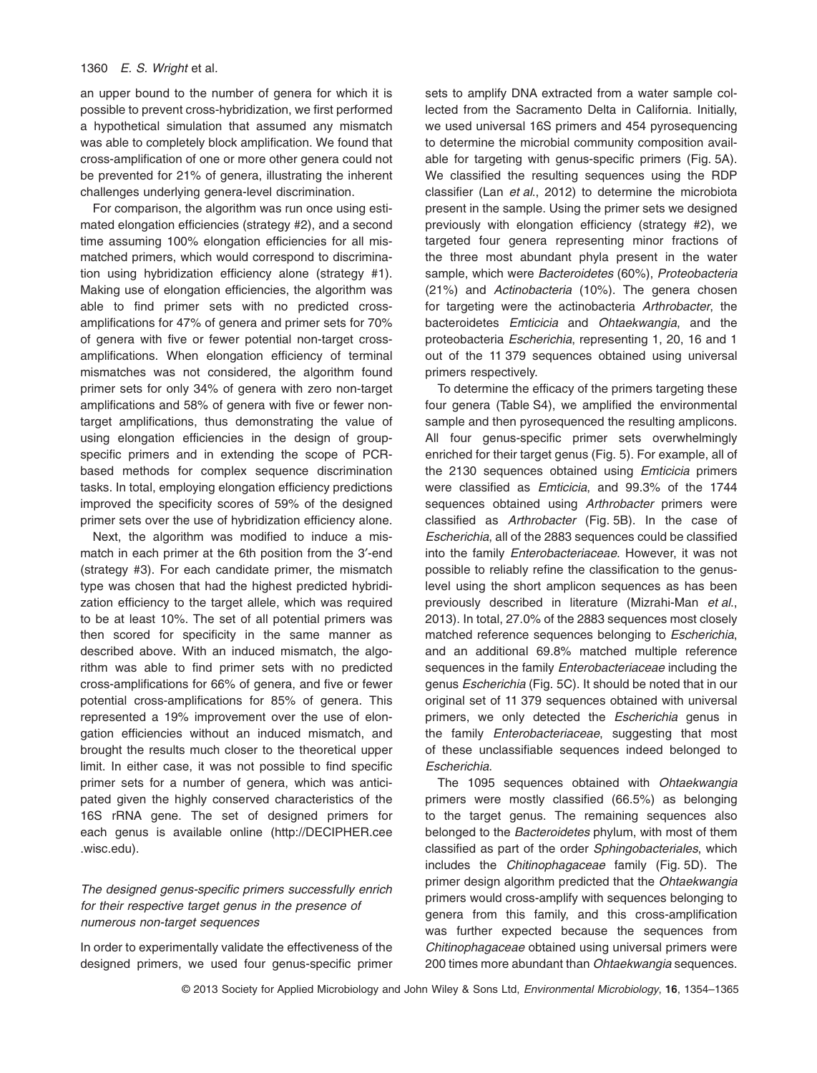#### 1360 *E. S. Wright* et al*.*

an upper bound to the number of genera for which it is possible to prevent cross-hybridization, we first performed a hypothetical simulation that assumed any mismatch was able to completely block amplification. We found that cross-amplification of one or more other genera could not be prevented for 21% of genera, illustrating the inherent challenges underlying genera-level discrimination.

For comparison, the algorithm was run once using estimated elongation efficiencies (strategy #2), and a second time assuming 100% elongation efficiencies for all mismatched primers, which would correspond to discrimination using hybridization efficiency alone (strategy #1). Making use of elongation efficiencies, the algorithm was able to find primer sets with no predicted crossamplifications for 47% of genera and primer sets for 70% of genera with five or fewer potential non-target crossamplifications. When elongation efficiency of terminal mismatches was not considered, the algorithm found primer sets for only 34% of genera with zero non-target amplifications and 58% of genera with five or fewer nontarget amplifications, thus demonstrating the value of using elongation efficiencies in the design of groupspecific primers and in extending the scope of PCRbased methods for complex sequence discrimination tasks. In total, employing elongation efficiency predictions improved the specificity scores of 59% of the designed primer sets over the use of hybridization efficiency alone.

Next, the algorithm was modified to induce a mismatch in each primer at the 6th position from the 3′-end (strategy #3). For each candidate primer, the mismatch type was chosen that had the highest predicted hybridization efficiency to the target allele, which was required to be at least 10%. The set of all potential primers was then scored for specificity in the same manner as described above. With an induced mismatch, the algorithm was able to find primer sets with no predicted cross-amplifications for 66% of genera, and five or fewer potential cross-amplifications for 85% of genera. This represented a 19% improvement over the use of elongation efficiencies without an induced mismatch, and brought the results much closer to the theoretical upper limit. In either case, it was not possible to find specific primer sets for a number of genera, which was anticipated given the highly conserved characteristics of the 16S rRNA gene. The set of designed primers for each genus is available online [\(http://DECIPHER.cee](http://DECIPHER.cee.wisc.edu) [.wisc.edu\)](http://DECIPHER.cee.wisc.edu).

# *The designed genus-specific primers successfully enrich for their respective target genus in the presence of numerous non-target sequences*

In order to experimentally validate the effectiveness of the designed primers, we used four genus-specific primer sets to amplify DNA extracted from a water sample collected from the Sacramento Delta in California. Initially, we used universal 16S primers and 454 pyrosequencing to determine the microbial community composition available for targeting with genus-specific primers (Fig. 5A). We classified the resulting sequences using the RDP classifier (Lan *et al*., 2012) to determine the microbiota present in the sample. Using the primer sets we designed previously with elongation efficiency (strategy #2), we targeted four genera representing minor fractions of the three most abundant phyla present in the water sample, which were *Bacteroidetes* (60%), *Proteobacteria* (21%) and *Actinobacteria* (10%). The genera chosen for targeting were the actinobacteria *Arthrobacter*, the bacteroidetes *Emticicia* and *Ohtaekwangia*, and the proteobacteria *Escherichia*, representing 1, 20, 16 and 1 out of the 11 379 sequences obtained using universal primers respectively.

To determine the efficacy of the primers targeting these four genera (Table S4), we amplified the environmental sample and then pyrosequenced the resulting amplicons. All four genus-specific primer sets overwhelmingly enriched for their target genus (Fig. 5). For example, all of the 2130 sequences obtained using *Emticicia* primers were classified as *Emticicia*, and 99.3% of the 1744 sequences obtained using *Arthrobacter* primers were classified as *Arthrobacter* (Fig. 5B). In the case of *Escherichia*, all of the 2883 sequences could be classified into the family *Enterobacteriaceae*. However, it was not possible to reliably refine the classification to the genuslevel using the short amplicon sequences as has been previously described in literature (Mizrahi-Man *et al*., 2013). In total, 27.0% of the 2883 sequences most closely matched reference sequences belonging to *Escherichia*, and an additional 69.8% matched multiple reference sequences in the family *Enterobacteriaceae* including the genus *Escherichia* (Fig. 5C). It should be noted that in our original set of 11 379 sequences obtained with universal primers, we only detected the *Escherichia* genus in the family *Enterobacteriaceae*, suggesting that most of these unclassifiable sequences indeed belonged to *Escherichia*.

The 1095 sequences obtained with *Ohtaekwangia* primers were mostly classified (66.5%) as belonging to the target genus. The remaining sequences also belonged to the *Bacteroidetes* phylum, with most of them classified as part of the order *Sphingobacteriales*, which includes the *Chitinophagaceae* family (Fig. 5D). The primer design algorithm predicted that the *Ohtaekwangia* primers would cross-amplify with sequences belonging to genera from this family, and this cross-amplification was further expected because the sequences from *Chitinophagaceae* obtained using universal primers were 200 times more abundant than *Ohtaekwangia* sequences.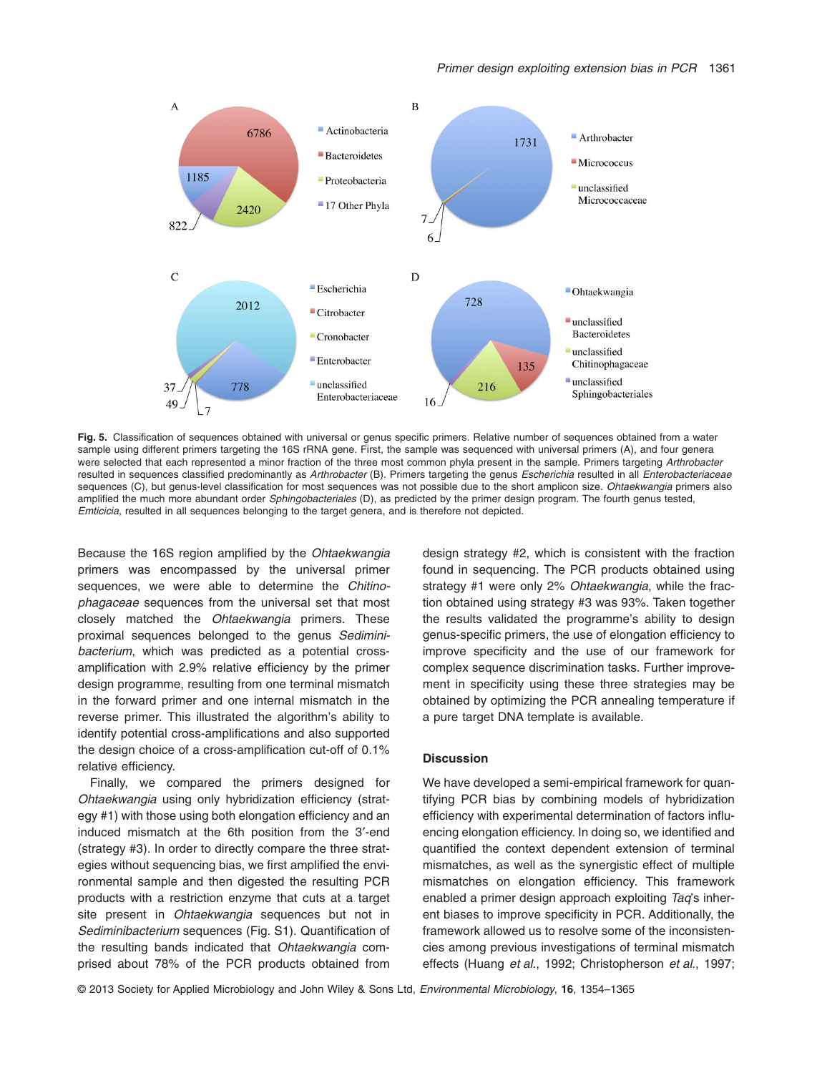

**Fig. 5.** Classification of sequences obtained with universal or genus specific primers. Relative number of sequences obtained from a water sample using different primers targeting the 16S rRNA gene. First, the sample was sequenced with universal primers (A), and four genera were selected that each represented a minor fraction of the three most common phyla present in the sample. Primers targeting *Arthrobacter* resulted in sequences classified predominantly as *Arthrobacter* (B). Primers targeting the genus *Escherichia* resulted in all *Enterobacteriaceae* sequences (C), but genus-level classification for most sequences was not possible due to the short amplicon size. *Ohtaekwangia* primers also amplified the much more abundant order *Sphingobacteriales* (D), as predicted by the primer design program. The fourth genus tested, *Emticicia*, resulted in all sequences belonging to the target genera, and is therefore not depicted.

Because the 16S region amplified by the *Ohtaekwangia* primers was encompassed by the universal primer sequences, we were able to determine the *Chitinophagaceae* sequences from the universal set that most closely matched the *Ohtaekwangia* primers. These proximal sequences belonged to the genus *Sediminibacterium*, which was predicted as a potential crossamplification with 2.9% relative efficiency by the primer design programme, resulting from one terminal mismatch in the forward primer and one internal mismatch in the reverse primer. This illustrated the algorithm's ability to identify potential cross-amplifications and also supported the design choice of a cross-amplification cut-off of 0.1% relative efficiency.

Finally, we compared the primers designed for *Ohtaekwangia* using only hybridization efficiency (strategy #1) with those using both elongation efficiency and an induced mismatch at the 6th position from the 3′-end (strategy #3). In order to directly compare the three strategies without sequencing bias, we first amplified the environmental sample and then digested the resulting PCR products with a restriction enzyme that cuts at a target site present in *Ohtaekwangia* sequences but not in *Sediminibacterium* sequences (Fig. S1). Quantification of the resulting bands indicated that *Ohtaekwangia* comprised about 78% of the PCR products obtained from

design strategy #2, which is consistent with the fraction found in sequencing. The PCR products obtained using strategy #1 were only 2% *Ohtaekwangia*, while the fraction obtained using strategy #3 was 93%. Taken together the results validated the programme's ability to design genus-specific primers, the use of elongation efficiency to improve specificity and the use of our framework for complex sequence discrimination tasks. Further improvement in specificity using these three strategies may be obtained by optimizing the PCR annealing temperature if a pure target DNA template is available.

# **Discussion**

We have developed a semi-empirical framework for quantifying PCR bias by combining models of hybridization efficiency with experimental determination of factors influencing elongation efficiency. In doing so, we identified and quantified the context dependent extension of terminal mismatches, as well as the synergistic effect of multiple mismatches on elongation efficiency. This framework enabled a primer design approach exploiting *Taq*'s inherent biases to improve specificity in PCR. Additionally, the framework allowed us to resolve some of the inconsistencies among previous investigations of terminal mismatch effects (Huang *et al*., 1992; Christopherson *et al*., 1997;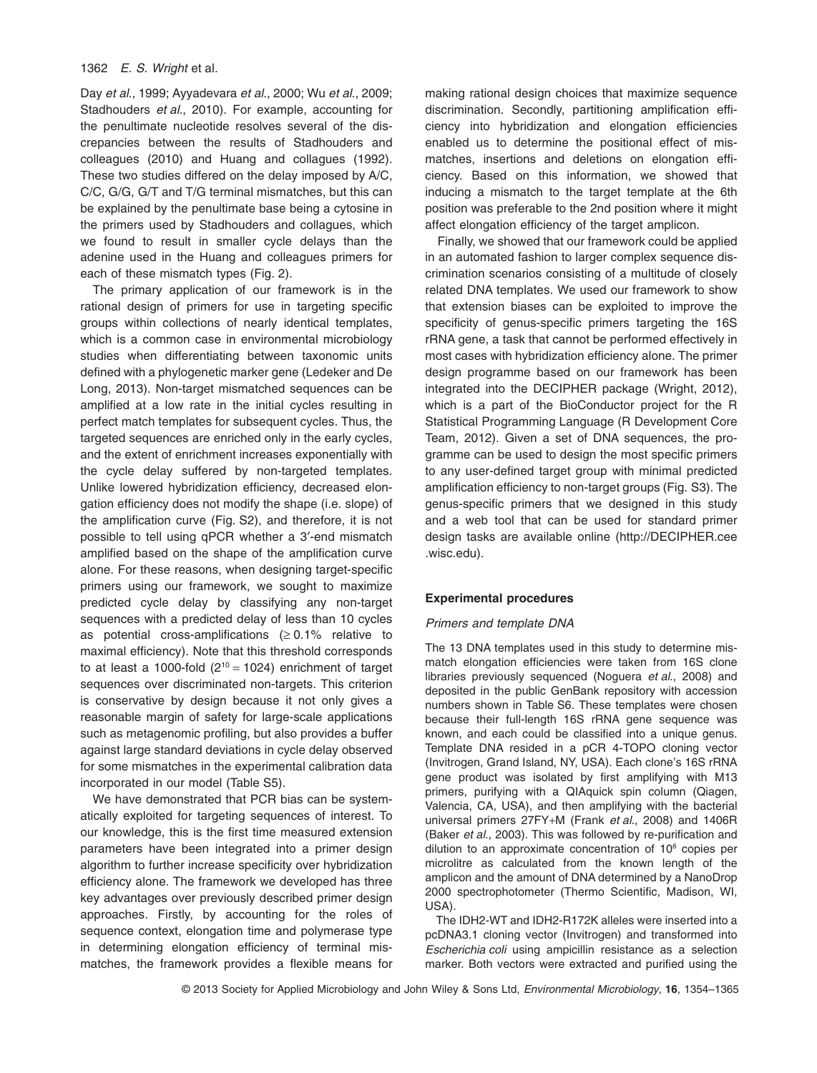#### 1362 *E. S. Wright* et al*.*

Day *et al*., 1999; Ayyadevara *et al*., 2000; Wu *et al*., 2009; Stadhouders *et al*., 2010). For example, accounting for the penultimate nucleotide resolves several of the discrepancies between the results of Stadhouders and colleagues (2010) and Huang and collagues (1992). These two studies differed on the delay imposed by A/C, C/C, G/G, G/T and T/G terminal mismatches, but this can be explained by the penultimate base being a cytosine in the primers used by Stadhouders and collagues, which we found to result in smaller cycle delays than the adenine used in the Huang and colleagues primers for each of these mismatch types (Fig. 2).

The primary application of our framework is in the rational design of primers for use in targeting specific groups within collections of nearly identical templates, which is a common case in environmental microbiology studies when differentiating between taxonomic units defined with a phylogenetic marker gene (Ledeker and De Long, 2013). Non-target mismatched sequences can be amplified at a low rate in the initial cycles resulting in perfect match templates for subsequent cycles. Thus, the targeted sequences are enriched only in the early cycles, and the extent of enrichment increases exponentially with the cycle delay suffered by non-targeted templates. Unlike lowered hybridization efficiency, decreased elongation efficiency does not modify the shape (i.e. slope) of the amplification curve (Fig. S2), and therefore, it is not possible to tell using qPCR whether a 3′-end mismatch amplified based on the shape of the amplification curve alone. For these reasons, when designing target-specific primers using our framework, we sought to maximize predicted cycle delay by classifying any non-target sequences with a predicted delay of less than 10 cycles as potential cross-amplifications  $(≥ 0.1%$  relative to maximal efficiency). Note that this threshold corresponds to at least a 1000-fold  $(2^{10} = 1024)$  enrichment of target sequences over discriminated non-targets. This criterion is conservative by design because it not only gives a reasonable margin of safety for large-scale applications such as metagenomic profiling, but also provides a buffer against large standard deviations in cycle delay observed for some mismatches in the experimental calibration data incorporated in our model (Table S5).

We have demonstrated that PCR bias can be systematically exploited for targeting sequences of interest. To our knowledge, this is the first time measured extension parameters have been integrated into a primer design algorithm to further increase specificity over hybridization efficiency alone. The framework we developed has three key advantages over previously described primer design approaches. Firstly, by accounting for the roles of sequence context, elongation time and polymerase type in determining elongation efficiency of terminal mismatches, the framework provides a flexible means for making rational design choices that maximize sequence discrimination. Secondly, partitioning amplification efficiency into hybridization and elongation efficiencies enabled us to determine the positional effect of mismatches, insertions and deletions on elongation efficiency. Based on this information, we showed that inducing a mismatch to the target template at the 6th position was preferable to the 2nd position where it might affect elongation efficiency of the target amplicon.

Finally, we showed that our framework could be applied in an automated fashion to larger complex sequence discrimination scenarios consisting of a multitude of closely related DNA templates. We used our framework to show that extension biases can be exploited to improve the specificity of genus-specific primers targeting the 16S rRNA gene, a task that cannot be performed effectively in most cases with hybridization efficiency alone. The primer design programme based on our framework has been integrated into the DECIPHER package (Wright, 2012), which is a part of the BioConductor project for the R Statistical Programming Language (R Development Core Team, 2012). Given a set of DNA sequences, the programme can be used to design the most specific primers to any user-defined target group with minimal predicted amplification efficiency to non-target groups (Fig. S3). The genus-specific primers that we designed in this study and a web tool that can be used for standard primer design tasks are available online [\(http://DECIPHER.cee](http://DECIPHER.cee.wisc.edu) [.wisc.edu\)](http://DECIPHER.cee.wisc.edu).

#### **Experimental procedures**

#### *Primers and template DNA*

The 13 DNA templates used in this study to determine mismatch elongation efficiencies were taken from 16S clone libraries previously sequenced (Noguera *et al*., 2008) and deposited in the public GenBank repository with accession numbers shown in Table S6. These templates were chosen because their full-length 16S rRNA gene sequence was known, and each could be classified into a unique genus. Template DNA resided in a pCR 4-TOPO cloning vector (Invitrogen, Grand Island, NY, USA). Each clone's 16S rRNA gene product was isolated by first amplifying with M13 primers, purifying with a QIAquick spin column (Qiagen, Valencia, CA, USA), and then amplifying with the bacterial universal primers 27FY+M (Frank *et al*., 2008) and 1406R (Baker *et al*., 2003). This was followed by re-purification and dilution to an approximate concentration of 10<sup>6</sup> copies per microlitre as calculated from the known length of the amplicon and the amount of DNA determined by a NanoDrop 2000 spectrophotometer (Thermo Scientific, Madison, WI, USA).

The IDH2-WT and IDH2-R172K alleles were inserted into a pcDNA3.1 cloning vector (Invitrogen) and transformed into *Escherichia coli* using ampicillin resistance as a selection marker. Both vectors were extracted and purified using the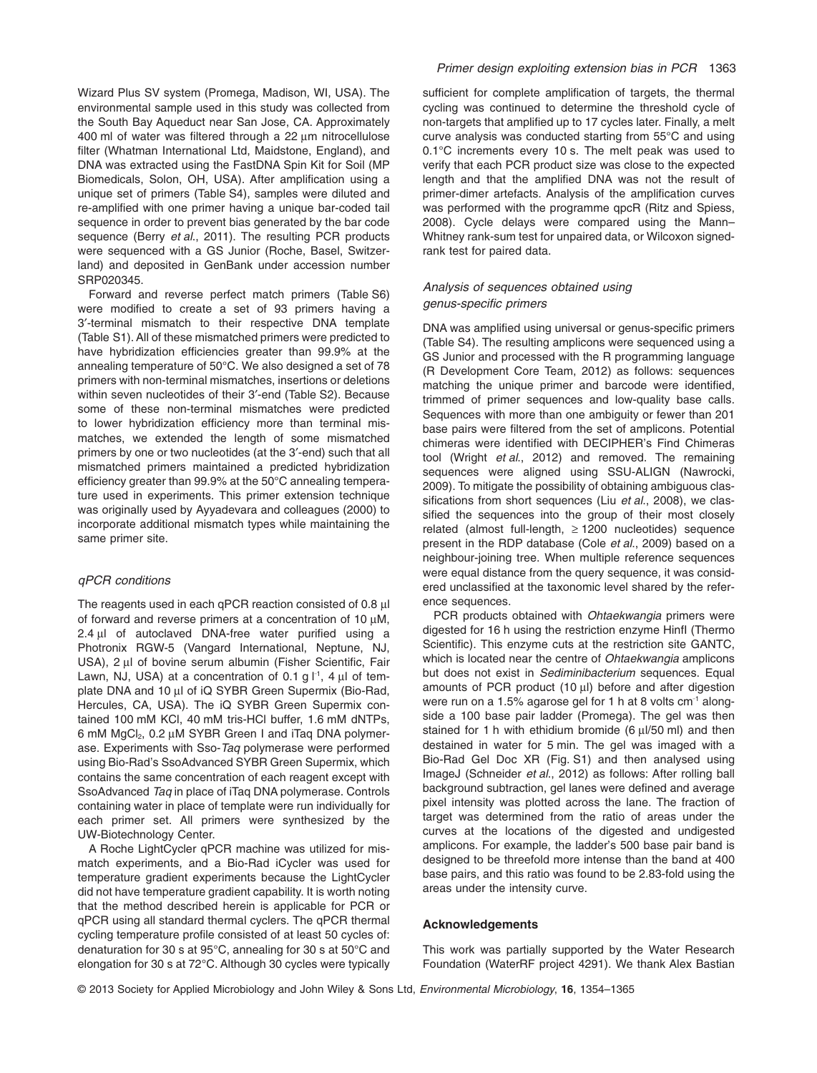Wizard Plus SV system (Promega, Madison, WI, USA). The environmental sample used in this study was collected from the South Bay Aqueduct near San Jose, CA. Approximately 400 ml of water was filtered through a 22 μm nitrocellulose filter (Whatman International Ltd, Maidstone, England), and DNA was extracted using the FastDNA Spin Kit for Soil (MP Biomedicals, Solon, OH, USA). After amplification using a unique set of primers (Table S4), samples were diluted and re-amplified with one primer having a unique bar-coded tail sequence in order to prevent bias generated by the bar code sequence (Berry *et al*., 2011). The resulting PCR products were sequenced with a GS Junior (Roche, Basel, Switzerland) and deposited in GenBank under accession number SRP020345.

Forward and reverse perfect match primers (Table S6) were modified to create a set of 93 primers having a 3′-terminal mismatch to their respective DNA template (Table S1). All of these mismatched primers were predicted to have hybridization efficiencies greater than 99.9% at the annealing temperature of 50°C. We also designed a set of 78 primers with non-terminal mismatches, insertions or deletions within seven nucleotides of their 3′-end (Table S2). Because some of these non-terminal mismatches were predicted to lower hybridization efficiency more than terminal mismatches, we extended the length of some mismatched primers by one or two nucleotides (at the 3′-end) such that all mismatched primers maintained a predicted hybridization efficiency greater than 99.9% at the 50°C annealing temperature used in experiments. This primer extension technique was originally used by Ayyadevara and colleagues (2000) to incorporate additional mismatch types while maintaining the same primer site.

#### *qPCR conditions*

The reagents used in each qPCR reaction consisted of 0.8 μl of forward and reverse primers at a concentration of 10 μM, 2.4 μl of autoclaved DNA-free water purified using a Photronix RGW-5 (Vangard International, Neptune, NJ, USA), 2 μl of bovine serum albumin (Fisher Scientific, Fair Lawn, NJ, USA) at a concentration of 0.1 g  $I^{-1}$ , 4  $\mu$ l of template DNA and 10 μl of iQ SYBR Green Supermix (Bio-Rad, Hercules, CA, USA). The iQ SYBR Green Supermix contained 100 mM KCl, 40 mM tris-HCl buffer, 1.6 mM dNTPs, 6 mM MgCl2, 0.2 μM SYBR Green I and iTaq DNA polymerase. Experiments with Sso-*Taq* polymerase were performed using Bio-Rad's SsoAdvanced SYBR Green Supermix, which contains the same concentration of each reagent except with SsoAdvanced *Taq* in place of iTaq DNA polymerase. Controls containing water in place of template were run individually for each primer set. All primers were synthesized by the UW-Biotechnology Center.

A Roche LightCycler qPCR machine was utilized for mismatch experiments, and a Bio-Rad iCycler was used for temperature gradient experiments because the LightCycler did not have temperature gradient capability. It is worth noting that the method described herein is applicable for PCR or qPCR using all standard thermal cyclers. The qPCR thermal cycling temperature profile consisted of at least 50 cycles of: denaturation for 30 s at 95°C, annealing for 30 s at 50°C and elongation for 30 s at 72°C. Although 30 cycles were typically sufficient for complete amplification of targets, the thermal cycling was continued to determine the threshold cycle of non-targets that amplified up to 17 cycles later. Finally, a melt curve analysis was conducted starting from 55°C and using 0.1°C increments every 10 s. The melt peak was used to verify that each PCR product size was close to the expected length and that the amplified DNA was not the result of primer-dimer artefacts. Analysis of the amplification curves was performed with the programme gpcR (Ritz and Spiess, 2008). Cycle delays were compared using the Mann– Whitney rank-sum test for unpaired data, or Wilcoxon signedrank test for paired data.

# *Analysis of sequences obtained using genus-specific primers*

DNA was amplified using universal or genus-specific primers (Table S4). The resulting amplicons were sequenced using a GS Junior and processed with the R programming language (R Development Core Team, 2012) as follows: sequences matching the unique primer and barcode were identified, trimmed of primer sequences and low-quality base calls. Sequences with more than one ambiguity or fewer than 201 base pairs were filtered from the set of amplicons. Potential chimeras were identified with DECIPHER's Find Chimeras tool (Wright *et al*., 2012) and removed. The remaining sequences were aligned using SSU-ALIGN (Nawrocki, 2009). To mitigate the possibility of obtaining ambiguous classifications from short sequences (Liu *et al*., 2008), we classified the sequences into the group of their most closely related (almost full-length, ≥ 1200 nucleotides) sequence present in the RDP database (Cole *et al*., 2009) based on a neighbour-joining tree. When multiple reference sequences were equal distance from the query sequence, it was considered unclassified at the taxonomic level shared by the reference sequences.

PCR products obtained with *Ohtaekwangia* primers were digested for 16 h using the restriction enzyme HinfI (Thermo Scientific). This enzyme cuts at the restriction site GANTC, which is located near the centre of *Ohtaekwangia* amplicons but does not exist in *Sediminibacterium* sequences. Equal amounts of PCR product (10 μl) before and after digestion were run on a 1.5% agarose gel for 1 h at 8 volts cm<sup>-1</sup> alongside a 100 base pair ladder (Promega). The gel was then stained for 1 h with ethidium bromide (6 μl/50 ml) and then destained in water for 5 min. The gel was imaged with a Bio-Rad Gel Doc XR (Fig. S1) and then analysed using ImageJ (Schneider *et al*., 2012) as follows: After rolling ball background subtraction, gel lanes were defined and average pixel intensity was plotted across the lane. The fraction of target was determined from the ratio of areas under the curves at the locations of the digested and undigested amplicons. For example, the ladder's 500 base pair band is designed to be threefold more intense than the band at 400 base pairs, and this ratio was found to be 2.83-fold using the areas under the intensity curve.

#### **Acknowledgements**

This work was partially supported by the Water Research Foundation (WaterRF project 4291). We thank Alex Bastian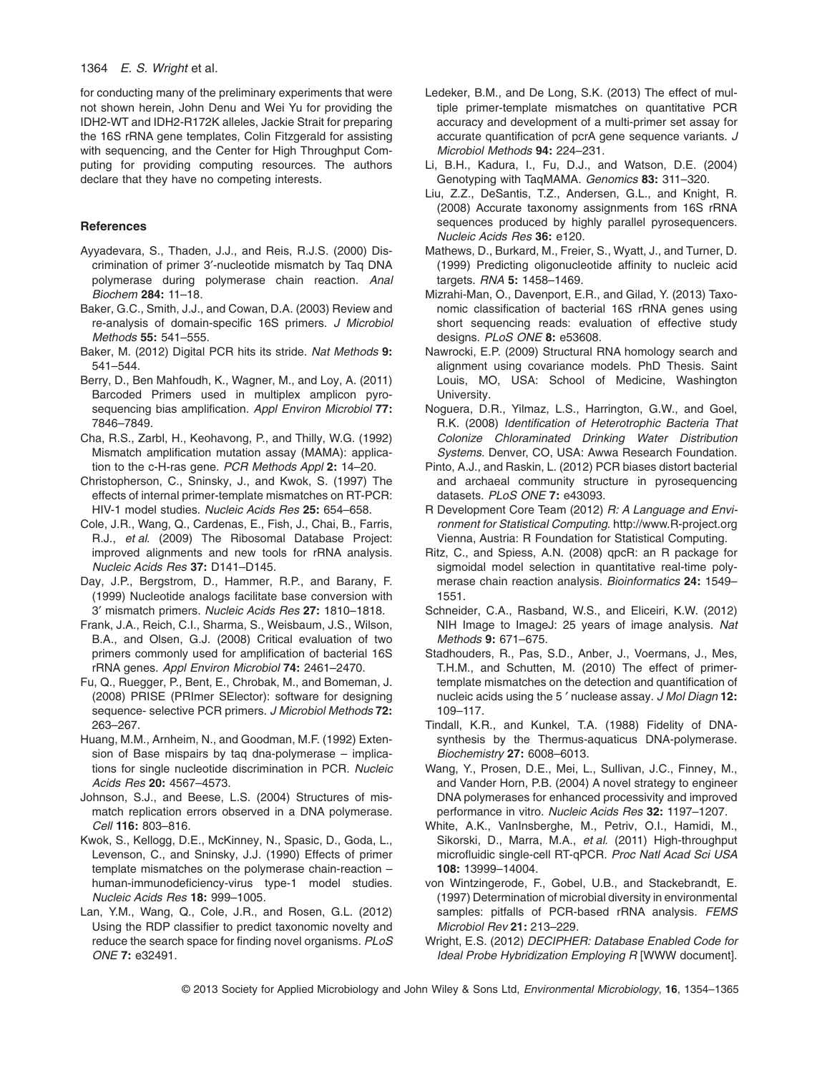1364 *E. S. Wright* et al*.*

for conducting many of the preliminary experiments that were not shown herein, John Denu and Wei Yu for providing the IDH2-WT and IDH2-R172K alleles, Jackie Strait for preparing the 16S rRNA gene templates, Colin Fitzgerald for assisting with sequencing, and the Center for High Throughput Computing for providing computing resources. The authors declare that they have no competing interests.

# **References**

- Ayyadevara, S., Thaden, J.J., and Reis, R.J.S. (2000) Discrimination of primer 3′-nucleotide mismatch by Taq DNA polymerase during polymerase chain reaction. *Anal Biochem* **284:** 11–18.
- Baker, G.C., Smith, J.J., and Cowan, D.A. (2003) Review and re-analysis of domain-specific 16S primers. *J Microbiol Methods* **55:** 541–555.
- Baker, M. (2012) Digital PCR hits its stride. *Nat Methods* **9:** 541–544.
- Berry, D., Ben Mahfoudh, K., Wagner, M., and Loy, A. (2011) Barcoded Primers used in multiplex amplicon pyrosequencing bias amplification. *Appl Environ Microbiol* **77:** 7846–7849.
- Cha, R.S., Zarbl, H., Keohavong, P., and Thilly, W.G. (1992) Mismatch amplification mutation assay (MAMA): application to the c-H-ras gene. *PCR Methods Appl* **2:** 14–20.
- Christopherson, C., Sninsky, J., and Kwok, S. (1997) The effects of internal primer-template mismatches on RT-PCR: HIV-1 model studies. *Nucleic Acids Res* **25:** 654–658.
- Cole, J.R., Wang, Q., Cardenas, E., Fish, J., Chai, B., Farris, R.J., *et al*. (2009) The Ribosomal Database Project: improved alignments and new tools for rRNA analysis. *Nucleic Acids Res* **37:** D141–D145.
- Day, J.P., Bergstrom, D., Hammer, R.P., and Barany, F. (1999) Nucleotide analogs facilitate base conversion with 3′ mismatch primers. *Nucleic Acids Res* **27:** 1810–1818.
- Frank, J.A., Reich, C.I., Sharma, S., Weisbaum, J.S., Wilson, B.A., and Olsen, G.J. (2008) Critical evaluation of two primers commonly used for amplification of bacterial 16S rRNA genes. *Appl Environ Microbiol* **74:** 2461–2470.
- Fu, Q., Ruegger, P., Bent, E., Chrobak, M., and Bomeman, J. (2008) PRISE (PRImer SElector): software for designing sequence- selective PCR primers. *J Microbiol Methods* **72:** 263–267.
- Huang, M.M., Arnheim, N., and Goodman, M.F. (1992) Extension of Base mispairs by taq dna-polymerase – implications for single nucleotide discrimination in PCR. *Nucleic Acids Res* **20:** 4567–4573.
- Johnson, S.J., and Beese, L.S. (2004) Structures of mismatch replication errors observed in a DNA polymerase. *Cell* **116:** 803–816.
- Kwok, S., Kellogg, D.E., McKinney, N., Spasic, D., Goda, L., Levenson, C., and Sninsky, J.J. (1990) Effects of primer template mismatches on the polymerase chain-reaction – human-immunodeficiency-virus type-1 model studies. *Nucleic Acids Res* **18:** 999–1005.
- Lan, Y.M., Wang, Q., Cole, J.R., and Rosen, G.L. (2012) Using the RDP classifier to predict taxonomic novelty and reduce the search space for finding novel organisms. *PLoS ONE* **7:** e32491.
- Ledeker, B.M., and De Long, S.K. (2013) The effect of multiple primer-template mismatches on quantitative PCR accuracy and development of a multi-primer set assay for accurate quantification of pcrA gene sequence variants. *J Microbiol Methods* **94:** 224–231.
- Li, B.H., Kadura, I., Fu, D.J., and Watson, D.E. (2004) Genotyping with TaqMAMA. *Genomics* **83:** 311–320.
- Liu, Z.Z., DeSantis, T.Z., Andersen, G.L., and Knight, R. (2008) Accurate taxonomy assignments from 16S rRNA sequences produced by highly parallel pyrosequencers. *Nucleic Acids Res* **36:** e120.
- Mathews, D., Burkard, M., Freier, S., Wyatt, J., and Turner, D. (1999) Predicting oligonucleotide affinity to nucleic acid targets. *RNA* **5:** 1458–1469.
- Mizrahi-Man, O., Davenport, E.R., and Gilad, Y. (2013) Taxonomic classification of bacterial 16S rRNA genes using short sequencing reads: evaluation of effective study designs. *PLoS ONE* **8:** e53608.
- Nawrocki, E.P. (2009) Structural RNA homology search and alignment using covariance models. PhD Thesis. Saint Louis, MO, USA: School of Medicine, Washington University.
- Noguera, D.R., Yilmaz, L.S., Harrington, G.W., and Goel, R.K. (2008) *Identification of Heterotrophic Bacteria That Colonize Chloraminated Drinking Water Distribution Systems*. Denver, CO, USA: Awwa Research Foundation.
- Pinto, A.J., and Raskin, L. (2012) PCR biases distort bacterial and archaeal community structure in pyrosequencing datasets. *PLoS ONE* **7:** e43093.
- R Development Core Team (2012) *R: A Language and Environment for Statistical Computing*.<http://www.R-project.org> Vienna, Austria: R Foundation for Statistical Computing.
- Ritz, C., and Spiess, A.N. (2008) qpcR: an R package for sigmoidal model selection in quantitative real-time polymerase chain reaction analysis. *Bioinformatics* **24:** 1549– 1551.
- Schneider, C.A., Rasband, W.S., and Eliceiri, K.W. (2012) NIH Image to ImageJ: 25 years of image analysis. *Nat Methods* **9:** 671–675.
- Stadhouders, R., Pas, S.D., Anber, J., Voermans, J., Mes, T.H.M., and Schutten, M. (2010) The effect of primertemplate mismatches on the detection and quantification of nucleic acids using the 5 ′ nuclease assay. *J Mol Diagn* **12:** 109–117.
- Tindall, K.R., and Kunkel, T.A. (1988) Fidelity of DNAsynthesis by the Thermus-aquaticus DNA-polymerase. *Biochemistry* **27:** 6008–6013.
- Wang, Y., Prosen, D.E., Mei, L., Sullivan, J.C., Finney, M., and Vander Horn, P.B. (2004) A novel strategy to engineer DNA polymerases for enhanced processivity and improved performance in vitro. *Nucleic Acids Res* **32:** 1197–1207.
- White, A.K., VanInsberghe, M., Petriv, O.I., Hamidi, M., Sikorski, D., Marra, M.A., *et al*. (2011) High-throughput microfluidic single-cell RT-qPCR. *Proc Natl Acad Sci USA* **108:** 13999–14004.
- von Wintzingerode, F., Gobel, U.B., and Stackebrandt, E. (1997) Determination of microbial diversity in environmental samples: pitfalls of PCR-based rRNA analysis. *FEMS Microbiol Rev* **21:** 213–229.
- Wright, E.S. (2012) *DECIPHER: Database Enabled Code for Ideal Probe Hybridization Employing R* [WWW document].